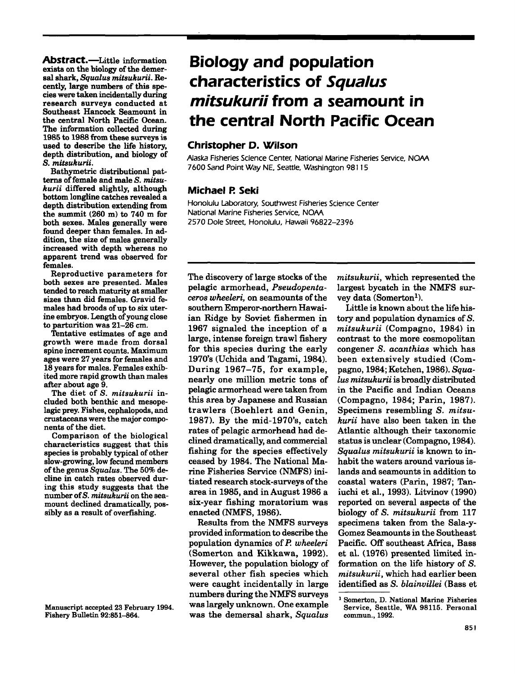**Abstract.**—Little information exists on the biology of the demersal shark, *Squalus mitsukurii.* Recently, large numbers of this species were taken incidentally during research surveys conducted at Southeast Hancock Seamount in the central North Pacific Ocean. The information collected during 1985 to 1988 from these surveys is used to describe the life history, depth distribution, and biology of S. *mitsukurii.*

Bathymetric distributional patterns of female and male S. mitsu*kurii* differed slightly, although bottom longline catches revealed a depth distribution extending from the summit (260 m) to 740 m for both sexes. Males generally were found deeper than females. In addition, the size of males generally increased with depth whereas no apparent trend was observed for females.

Reproductive parameters for both sexes are presented. Males tended to reach maturity at smaller sizes than did females. Gravid females had broods of up to six uterine embryos. Length of young close to parturition was 21-26 em.

Tentative estimates of age and growth were made from dorsal spine increment counts. Maximum ages were 27 years for females and 18 years for males. Females exhibited more rapid growth than males after about age 9.

The diet of S. *mitsukurii* included both benthic and mesopelagic prey. Fishes, cephalopods, and crustaceans were the major components of the diet.

Comparison of the biological characteristics suggest that this species is probably typical of other slow-growing, low fecund members of the genus *Squalus*. The 50% decline in catch rates observed during this study suggests that the number ofS. *mitsukurii* on the seamount declined dramatically, possibly as a result of overfishing.

# **Biology and population characteristics of Squalus mitsukurii from a seamount in the central North Pacific Ocean**

# **Christopher D. Wilson**

Alaska Fisheries Science Center; National Marine Fisheries Service. NOAA 7600 Sand Point Way NE. Seattle. Washington 98 J 15

# **Michael P. Seki**

Honolulu laboratory. Southwest Fisheries Science Center National Marine Fisheries Service. NOAA 2570 Dole Street, Honolulu, Hawaii 96822-2396

The discovery of large stocks of the pelagic armorhead, *Pseudopentaceros wheeleri*, on seamounts of the southern Emperor-northern Hawaiian Ridge by Soviet fishermen in 1967 signaled the inception of a large, intense foreign trawl fishery for this species during the early 1970's (Uchida and Tagami, 1984). During 1967-75, for example, nearly one million metric tons of pelagic armorhead were taken from this area by Japanese and Russian trawlers (Boehlert and Genin, 1987). By the mid-1970's, catch rates of pelagic armorhead had declined dramatically, and commercial fishing for the species effectively ceased by 1984. The National Marine Fisheries Service (NMFS) initiated research stock-surveys of the area in 1985, and in August 1986 a six-year fishing moratorium was enacted (NMFS, 1986).

Results from the NMFS surveys provided information to describe the population dynamics of P. *wheeleri* (Somerton and Kikkawa, 1992). However, the population biology of several other fish species which were caught incidentally in large numbers during the NMFS surveys was largely unknown. One example was the demersal shark, *Squalus* *mitsukurii,* which represented the largest bycatch in the NMFS survey data (Somerton<sup>1</sup>).

Little is known about the life history and population dynamics of  $S$ . *mitsukurii* (Compagno, 1984) in contrast to the more cosmopolitan congener S. *acanthias* which has been extensively studied (Compagno, 1984; Ketchen, 1986). *Squalus mitsukurii* is broadly distributed in the Pacific and Indian Oceans (Compagno, 1984; Parin, 1987). Specimens resembling S. *mitsukurii* have also been taken in the Atlantic although their taxonomic statusis unclear (Compagno, 1984). *Squalus mitsukurii* is known to inhabit the waters around various islands and seamounts in addition to coastal waters (Parin, 1987; Taniuchi et a1., 1993). Litvinov (1990) reported on several aspects of the biology of S. *mitsukurii* from 117 specimens taken from the Sala-y-Gomez Seamounts in the Southeast Pacific. Off southeast Africa, Bass et a1. (1976) presented limited information on the life history of S. *mitsukurii,* which had earlier been identified as S. *blainvillei* (Bass et

Manuscript accepted 23 February 1994. Fishery Bulletin 92:851-864.

<sup>1</sup> Somerton, D. National Marine Fisheries Service, Seattle. WA 98115. Personal commun., 1992.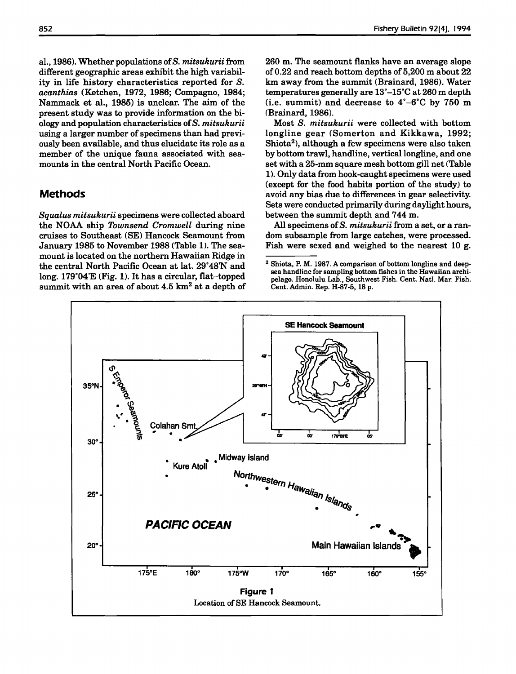aI., 1986). Whether populations ofS. *mitsukurii* from different geographic areas exhibit the high variability in life history characteristics reported for S. *acanthias* (Ketchen, 1972, 1986; Compagno, 1984; Nammack et aI., 1985) is unclear. The aim of the present study was to provide information on the biology and population characteristics ofS. *mitsukurii* using a larger number of specimens than had previously been available, and thus elucidate its role as a member of the unique fauna associated with seamounts in the central North Pacific Ocean.

# **Methods**

*Squalus mitsukurii* specimens were collected aboard the NOAA ship *Townsend Cromwell* during nine cruises to Southeast (SE) Hancock Seamount from January 1985 to November 1988 (Table 1). The seamount is located on the northern Hawaiian Ridge in the central North Pacific Ocean at lat. 29°48'N and long. 179°04'E (Fig. 1). It has a circular, flat-topped summit with an area of about 4.5  $km^2$  at a depth of 260 m. The seamount flanks have an average slope of 0.22 and reach bottom depths of 5,200 m about 22 km away from the summit (Brainard, 1986). Water temperatures generally are 13°-15°C at 260 m depth (i.e. summit) and decrease to 4°-6°C by 750 m <Brainard, 1986).

Most S. *mitsukurii* were collected with bottom longline gear (Somerton and Kikkawa, 1992; Shiota<sup>2</sup>), although a few specimens were also taken by bottom trawl, handline, vertical longline, and one set with a 25-mm square mesh bottom gill net (Table 1). Only data from hook-caught specimens were used (except for the food habits portion of the study) to avoid any bias due to differences in gear selectivity. Sets were conducted primarily during daylight hours, between the summit depth and 744 m.

All specimens of S. *mitsukurii* from a set, or a random subsample from large catches, were processed. Fish were sexed and weighed to the nearest 10 g.

<sup>2</sup> Shiota, P. M. 1987. A comparison of bottom longline and deepsea handline for sampling bottom fishes in the Hawaiian archipelago. Honolulu Lab., Southwest Fish. Cent. Natl. Mar. Fish. Cent. Admin. Rep. H-87-5, 18 p.

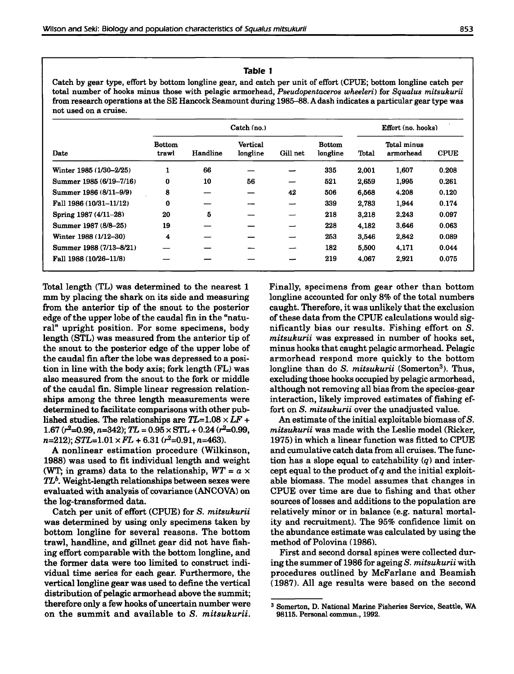#### **Table I**

Catch by gear type, effort by bottom longline gear, and catch per unit of effort (CPUE; bottom longline catch per total number of hooks minus those with pelagic armorhead, *Pseudopentaceros wheeleri)* for *Squalus mitsukurii* from research operations at the SE Hancock Seamount during 1985-88.Adash indicates a particular gear type was not used on a cruise.

| Date                    | Catch (no.)            |          |                             |          |                           |       | Effort (no. hooks)       |             |  |
|-------------------------|------------------------|----------|-----------------------------|----------|---------------------------|-------|--------------------------|-------------|--|
|                         | <b>Bottom</b><br>trawl | Handline | <b>Vertical</b><br>longline | Gill net | <b>Bottom</b><br>longline | Total | Total minus<br>armorhead | <b>CPUE</b> |  |
| Winter 1985 (1/30–2/25) | ш                      | 66       |                             |          | 335                       | 2,001 | 1,607                    | 0.208       |  |
| Summer 1985 (6/19-7/16) | $\bf{0}$               | 10       | 56                          | —        | 521                       | 2,659 | 1,995                    | 0.261       |  |
| Summer 1986 (8/11-9/9)  | 8                      |          |                             | 42       | 506                       | 6,568 | 4,208                    | 0.120       |  |
| Fall 1986 (10/31-11/12) | 0                      |          |                             |          | 339                       | 2.783 | 1,944                    | 0.174       |  |
| Spring 1987 (4/11-28)   | 20                     | 5        |                             |          | 218                       | 3,218 | 2.243                    | 0.097       |  |
| Summer 1987 (8/8-25)    | 19                     |          |                             | -        | 228                       | 4.182 | 3.646                    | 0.063       |  |
| Winter 1988 (1/12-30)   | 4                      |          |                             |          | 253                       | 3.546 | 2.842                    | 0.089       |  |
| Summer 1988 (7/13-8/21) |                        |          |                             |          | 182                       | 5,500 | 4,171                    | 0.044       |  |
| Fall 1988 (10/26-11/8)  |                        |          |                             |          | 219                       | 4.067 | 2.921                    | 0.075       |  |

Total length (TL) was determined to the nearest 1 mm by placing the shark on its side and measuring from the anterior tip of the snout to the posterior edge of the upper lobe of the caudal fin in the "natural" upright position. For some specimens, body length (STL) was measured from the anterior tip of the snout to the posterior edge of the upper lobe of the caudal fin after the lobe was depressed to a position in line with the body axis; fork length (FL) was also measured from the snout to the fork or middle of the caudal fin. Simple linear regression relationships among the three length measurements were determined to facilitate comparisons with other published studies. The relationships are  $TL=1.08 \times LF +$ 1.67 ( $r^2$ =0.99,  $n=342$ );  $TL = 0.95 \times STL + 0.24$  ( $r^2$ =0.99,  $n=212$ );  $STL=1.01 \times FL + 6.31$  ( $r^2=0.91$ ,  $n=463$ ).

A nonlinear estimation procedure (Wilkinson, 1988) was used to fit individual length and weight (WT; in grams) data to the relationship,  $WT = a \times$  $TL<sup>b</sup>$ . Weight-length relationships between sexes were evaluated with analysis of covariance (ANCOVA) on the log-transformed data.

Catch per unit of effort (CPUE) for S. *mitsukurii* was determined by using only specimens taken by bottom longline for several reasons. The bottom trawl, handline, and gillnet gear did not have fishing effort comparable with the bottom longline, and the former data were too limited to construct individual time series for each gear. Furthermore, the vertical longline gear was used to define the vertical distribution of pelagic armorhead above the summit; therefore only a few hooks of uncertain number were on the summit and available to S. *mitsukurii.*

Finally, specimens from gear other than bottom longline accounted for only 8% of the total numbers caught. Therefore, it was unlikely that the exclusion of these data from the CPUE calculations would significantly bias our results. Fishing effort on S. *mitsukurii* was expressed in number of hooks set, minus hooks that caught pelagic armorhead. Pelagic armorhead respond more quickly to the bottom longline than do S. *mitsukurii* (Somerton<sup>3</sup>). Thus, excluding those hooks occupied by pelagic armorhead, although not removing all bias from the species-gear interaction, likely improved estimates of fishing effort on S. *mitsukurii* over the unadjusted value.

An estimate of the initial exploitable biomass of  $S$ . *mitsukurii* was made with the Leslie model (Ricker, 1975) in which a linear function was fitted to CPUE and cumulative catch data from all cruises. The function has a slope equal to catchability  $(q)$  and intercept equal to the product of*q* and the initial exploitable biomass. The model assumes that changes in CPUE over time are due to fishing and that other sources of losses and additions to the population are relatively minor or in balance (e.g. natural mortality and recruitment). The 95% confidence limit on the abundance estimate was calculated by using the method of Polovina (1986).

First and second dorsal spines were collected during the summer of 1986 for ageing S. *mitsukurii* with procedures outlined by McFarlane and Beamish (1987). All age results were based on the second

<sup>3</sup> Somerton, D. National Marine Fisheries Service, Seattle, WA 98115. Personal commun., 1992.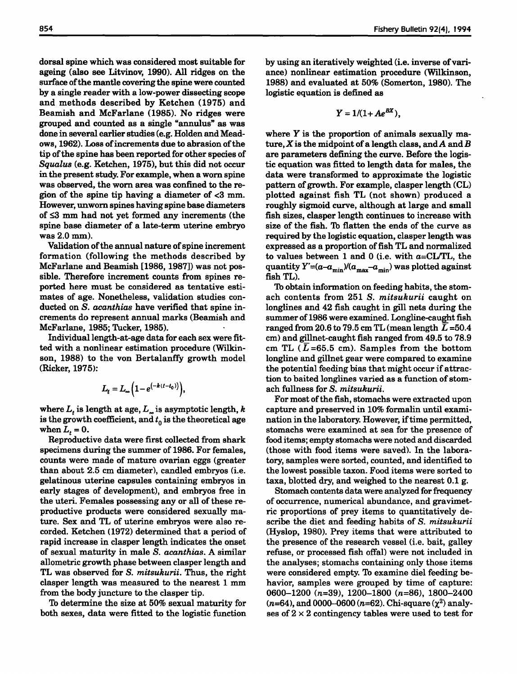dorsal spine which was considered most suitable for ageing (also see Litvinov, 1990). All ridges on the surface of the mantle covering the spine were counted by a single reader with a low-power dissecting scope and methods described by Ketchen (1975) and Beamish and McFarlane (1985). No ridges were grouped and counted as a single "annulus" as was done in several earlier studies (e.g. Holden and Meadows, 1962). Loss of increments due to abrasion of the tip of the spine has been reported for other species of *Squalus* (e.g. Ketchen, 1975), but this did not occur in the present study. For example, when a worn spine was observed, the worn area was confined to the region of the spine tip having a diameter of  $<$ 3 mm. However, unworn spines having spine base diameters of  $\leq$ 3 mm had not yet formed any increments (the spine base diameter of a late-term uterine embryo was 2.0 mm).

Validation of the annual nature of spine increment formation (following the methods described by McFarlane and Beamish [1986,1987]) was not possible. Therefore increment counts from spines reported here must be considered as tentative estimates of age. Nonetheless, validation studies conducted on S. *acanthias* have verified that spine increments do represent annual marks (Beamish and McFarlane, 1985; Tucker, 1985).

Individual length-at-age data for each sex were fitted with a nonlinear estimation procedure (Wilkinson, 1988) to the von Bertalanffy growth model (Ricker, 1975):

$$
L_t = L_\infty \left( 1 - e^{(-k(t-t_0))} \right),
$$

where  $L_t$  is length at age,  $L_\infty$  is asymptotic length, *k* is the growth coefficient, and  $t_0$  is the theoretical age when  $L_t = 0$ .

Reproductive data were first collected from shark specimens during the summer of 1986. For females, counts were made of mature ovarian eggs (greater than about 2.5 cm diameter), candled embryos (i.e. gelatinous uterine capsules containing embryos in early stages of development), and embryos free in the uteri. Females possessing any or all of these reproductive products were considered sexually mature. Sex and TL of uterine embryos were also recorded. Ketchen (1972) determined that a period of rapid increase in clasper length indicates the onset of sexual maturity in male S. *acanthias.* A similar allometric growth phase between clasper length and TL was observed for S. *mitsukurii.* Thus, the right clasper length was measured to the nearest 1 mm from the body juncture to the clasper tip.

To determine the size at 50% sexual maturity for both sexes, data were fitted to the logistic function by using an iteratively weighted (i.e. inverse of variance) nonlinear estimation procedure (Wilkinson, 1988) and evaluated at 50% (Somerton, 1980). The logistic equation is defined as

$$
Y=1/(1+ Ae^{BX}),
$$

where  $Y$  is the proportion of animals sexually mature, X is the midpoint of a length class, and A and B are parameters defining the curve. Before the logistic equation was fitted to length data for males, the data were transformed to approximate the logistic pattern of growth. For example, clasper length (CL) plotted against fish TL (not shown) produced a roughly sigmoid curve, although at large and small fish sizes, clasper length continues to increase with size of the fish. To flatten the ends of the curve as required by the logistic equation, clasper length was expressed as a proportion of fish TL and normalized to values between 1 and 0 (i.e. with  $a = CL/TL$ , the quantity  $Y'=(a-a_{\min})/(a_{\max}-a_{\min})$  was plotted against fish TL).

To obtain information on feeding habits, the stomach contents from 251 S. *mitsukurii* caught on longlines and 42 fish caught in gill nets during the summer of 1986 were examined. Longline-caught fish ranged from 20.6 to 79.5 cm TL (mean length  $\overline{L}$  =50.4 cm) and gillnet-caught fish ranged from 49.5 to 78.9 cm TL  $(L = 65.5$  cm). Samples from the bottom longline and gillnet gear were compared to examine the potential feeding bias that might occur if attraction to baited longlines varied as a function of stomach fullness for S. *mitsukurii.*

For most of the fish, stomachs were extracted upon capture and preserved in 10% formalin until examination in the laboratory. However, if time permitted, stomachs were examined at sea for the presence of food items; empty stomachs were noted and discarded (those with food items were saved), In the laboratory, samples were sorted, counted, and identified to the lowest possible taxon. Food items were sorted to taxa, blotted dry, and weighed to the nearest 0.1 g.

Stomach contents data were analyzed for frequency of occurrence, numerical abundance, and gravimetric proportions of prey items to quantitatively describe the diet and feeding habits of S. *mitsukurii* (Hyslop, 1980). Prey items that were attributed to the presence of the research vessel (i.e. bait, galley refuse, or processed fish offal) were not included in the analyses; stomachs containing only those items were considered empty. To examine diel feeding behavior, samples were grouped by time of capture: 0600-1200 (n=39), 1200-1800 (n=86), 1800-2400  $(n=64)$ , and 0000-0600  $(n=62)$ . Chi-square  $(\chi^2)$  analyses of  $2 \times 2$  contingency tables were used to test for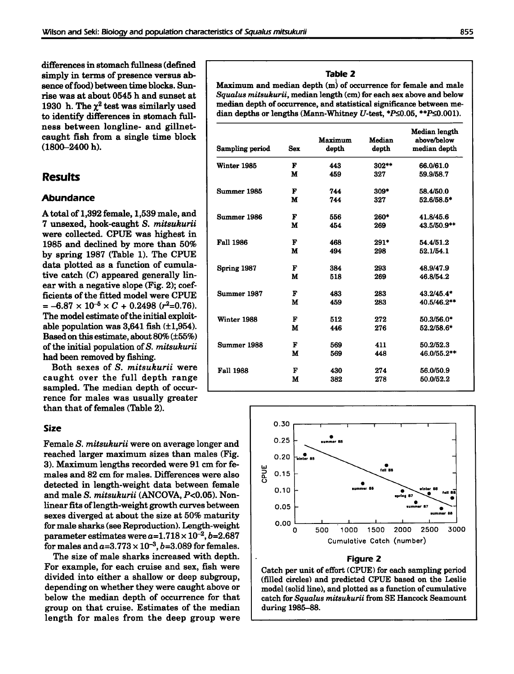differences in stomach fullness (defined simply in terms of presence versus ab-<br>sence of food) between time blocks. Sun-<br>**Maximum** and median depth (m) of oc ness between longline- and gillnet-<br>caught fish from a single time block  $(1800 - 2400 h)$ .

Both sexes of S. *mitsukurii* were caught over the full depth range sampled. The median depth of occurrence for males was usually greater than that of females (Table 2).

#### **Size**

Female S. *mitsukurii* were on average longer and reached larger maximum sizes than males (Fig. 3). Maximum lengths recorded were 91 cm for females and 82 cm for males. Differences were also detected in length-weight data between female and male S. *mitsukurii* (ANCOVA, *P<0.05).* Nonlinear fits of length-weight growth curves between sexes diverged at about the size at 50% maturity for male sharks(see Reproduction). Length-weight parameter estimates were  $a=1.718 \times 10^{-2}$ , *b*=2.687 for males and  $a=3.773\times10^{-3}$ ,  $b=3.089$  for females.

The size of male sharks increased with depth. For example, for each cruise and sex, fish were divided into either a shallow or deep subgroup, depending on whether they were caught above or below the median depth of occurrence for that group on that cruise. Estimates of the median length for males from the deep group were

sence of food) between time blocks. Sun-<br>rise was at about 0545 h and sunset at Squalus mitsukurii, median length (cm) for each sex above and below rise was at about 0545 h and sunset at *Squalus mitsukurii*, median length (cm) for each sex above and below 1930 h. The  $\chi^2$  test was similarly used median depth of occurrence, and statistical significance between me-1930 h. The  $\chi^2$  test was similarly used median depth of occurrence, and statistical significance between me-<br>to identify differences in stomach full-<br>dian depths or lengths (Mann-Whitney U-test, \*P≤0.05, \*\*P≤0.001). dian depths or lengths (Mann-Whitney *U*-test,  $*P \le 0.05$ ,  $*P \le 0.001$ ).

| 11000 DODNOOII 1011 <sub>8</sub> 11110 Gilw Riiliige<br>caught fish from a single time block<br>$(1800 - 2400 h).$ | Sampling period  | <b>Sex</b>   | Maximum<br>depth | Median<br>depth | Median length<br>above/below<br>median depth |
|--------------------------------------------------------------------------------------------------------------------|------------------|--------------|------------------|-----------------|----------------------------------------------|
|                                                                                                                    | Winter 1985      | $\mathbf F$  | 443              | 302**           | 66.0/61.0                                    |
| <b>Results</b>                                                                                                     |                  | M            | 459              | 327             | 59.9/58.7                                    |
|                                                                                                                    | Summer 1985      | $\mathbf F$  | 744              | $309*$          | 58.4/50.0                                    |
| Abundance                                                                                                          |                  | M            | 744              | 327             | 52.6/58.5*                                   |
| A total of 1,392 female, 1,539 male, and                                                                           | Summer 1986      | F            | 556              | $260*$          | 41.8/45.6                                    |
| 7 unsexed, hook-caught S. mitsukurii                                                                               |                  | M            | 454              | 269             | 43.5/50.9**                                  |
| were collected. CPUE was highest in                                                                                |                  |              |                  |                 |                                              |
| 1985 and declined by more than 50%                                                                                 | <b>Fall 1986</b> | F            | 468              | $291*$          | 54.4/51.2                                    |
| by spring 1987 (Table 1). The CPUE                                                                                 |                  | M            | 494              | 298             | 52.1/54.1                                    |
| data plotted as a function of cumula-                                                                              | Spring 1987      | $\mathbf{F}$ | 384              | 293             | 48.9/47.9                                    |
| tive catch $(C)$ appeared generally lin-                                                                           |                  | M            | 518              | 269             | 46.8/54.2                                    |
| ear with a negative slope (Fig. 2); coef-                                                                          |                  |              |                  |                 |                                              |
| ficients of the fitted model were CPUE                                                                             | Summer 1987      | F            | 483              | 283             | 43.2/45.4*                                   |
| $= -6.87 \times 10^{-5} \times C + 0.2498$ (r <sup>2</sup> =0.76).                                                 |                  | M            | 459              | 283             | 40.5/46.2**                                  |
| The model estimate of the initial exploit-                                                                         | Winter 1988      | F            | 512              | 272             | 50.3/56.0*                                   |
| able population was $3,641$ fish $(\pm 1,954)$ .                                                                   |                  | M            | 446              | 276             | 52.2/58.6*                                   |
| Based on this estimate, about 80% (±55%)                                                                           |                  |              |                  |                 |                                              |
| of the initial population of S. mitsukurii                                                                         | Summer 1988      | F            | 569              | 411             | 50.2/52.3                                    |
| had been removed by fishing.                                                                                       |                  | M            | 569              | 448             | 46.0/55.2**                                  |
| Both sexes of S. mitsukurii were                                                                                   |                  |              |                  |                 |                                              |
| caught over the full depth range                                                                                   | <b>Fall 1988</b> | F<br>M       | 430<br>382       | 274<br>278      | 56.0/50.9<br>50.0/52.2                       |
| sampled. The median depth of occur-                                                                                |                  |              |                  |                 |                                              |



# **Figure 2**

Catch per unit of effort (CPUE) for each sampling period (filled circles) and predicted CPUE based on the Leslie model (solid line), and plotted as a function of cumulative catch for *Squalus mitsukurii* from SE Hancock Seamount during 1985-88.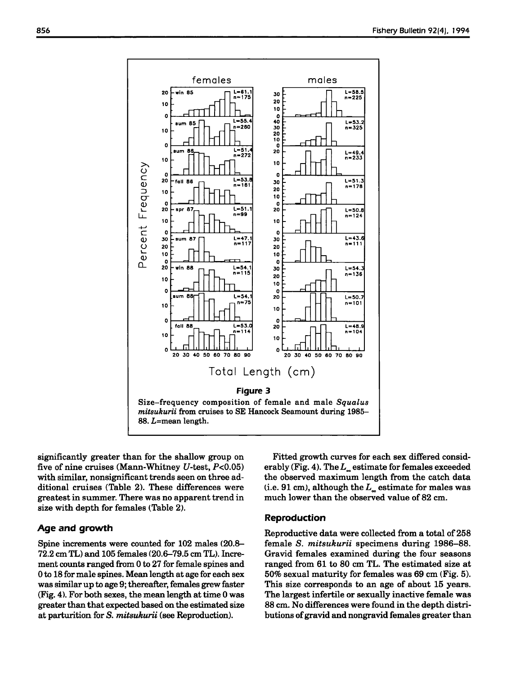

significantly greater than for the shallow group on five of nine cruises (Mann-Whitney *U-test, P<0.05)* with similar, nonsignificant trends seen on three additional cruises (Table 2). These differences were greatest in summer. There was no apparent trend in size with depth for females (Table 2).

# **Age and growth**

Spine increments were counted for 102 males (20.8- 72.2 cm TL) and 105 females (20.6-79.5 cm TL). Increment counts ranged from 0 to 27 for female spines and 0 to 18 for male spines. Mean length at age for each sex was similar up to age 9; thereafter, females grew faster (Fig. 4), For both sexes, the mean length at time 0 was greater than that expected based on the estimated size at parturition for S. *mitsukurii* (see Reproduction).

Fitted growth curves for each sex differed considerably (Fig. 4). The  $L_{\infty}$  estimate for females exceeded the observed maximum length from the catch data (i.e. 91 cm), although the  $L_{\infty}$  estimate for males was much lower than the observed value of 82 cm.

# **Reproduction**

Reproductive data were collected from a total of 258 female S. *mitsukurii* specimens during 1986-88. Gravid females examined during the four seasons ranged from 61 to 80 cm TL. The estimated size at 50% sexual maturity for females was 69 cm (Fig. 5). This size corresponds to an age of about 15 years. The largest infertile or sexually inactive female was 88 cm. No differences were found in the depth distributions of gravid and nongravid females greater than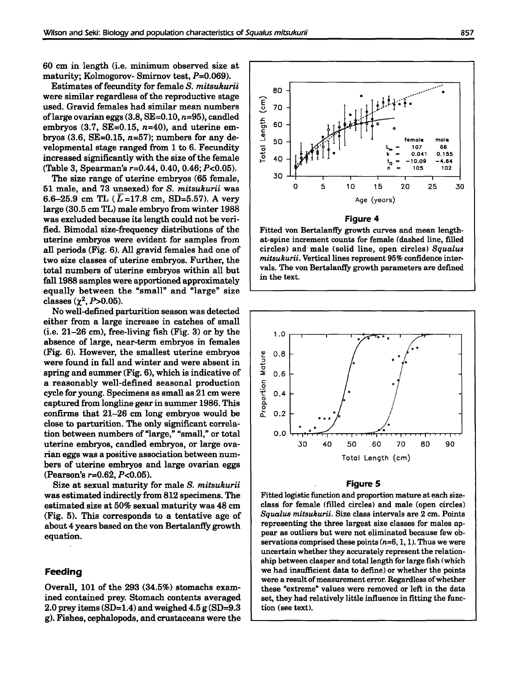60 cm in length (i.e. minimum observed size at maturity; Kolmogorov- Smirnov test,  $P=0.069$ ).

Estimates of fecundity for female S. *mitsukurii* were similar regardless of the reproductive stage used. Gravid females had similar mean numbers of large ovarian eggs  $(3.8, SE=0.10, n=95)$ , candled embryos  $(3.7, SE=0.15, n=40)$ , and uterine embryos  $(3.6, SE=0.15, n=57)$ ; numbers for any developmental stage ranged from 1 to 6. Fecundity increased significantly with the size of the female (Table 3, Spearman's  $r=0.44$ , 0.40, 0.46;  $P<0.05$ ).

The size range of uterine embryos (65 female, 51 male, and 73 unsexed) for S. *mitsukurii* was 6.6-25.9 cm TL ( $\overline{L}$ =17.8 cm, SD=5.57). A very large (30.5 cm TL) male embryo from winter 1988 was excluded because its length could not be verified. Bimodal size-frequency distributions of the uterine embryos were evident for samples from all periods (Fig. 6). All gravid females had one of two size classes of uterine embryos. Further, the total numbers of uterine embryos within all but fall 1988 samples were apportioned approximately equally between the "small" and "large" size classes  $(\chi^2, P > 0.05)$ .

No well-defined parturition season was detected either from a large increase in catches of small (i.e. 21-26 cm), free-living fish (Fig. 3) or by the absence of large, near-term embryos in females (Fig. 6). However, the smallest uterine embryos were found in fall and winter and were absent in spring and summer (Fig. 6), which is indicative of a reasonably well-defined seasonal production cycle for young. Specimens as small as 21 cm were captured from longline gearin summer 1986. This confirms that 21-26 cm long embryos would be close to parturition. The only significant correlation between numbers of "large," "small," or total uterine embryos, candled embryos, or large ovarian eggs was a positive association between numbers of uterine embryos and large ovarian eggs (Pearson's  $r=0.62$ ,  $P<0.05$ ).

Size at sexual maturity for male S. *mitsukurii* was estimated indirectly from 812 specimens. The estimated size at 50% sexual maturity was 48 cm (Fig. 5). This corresponds to a tentative age of about 4 years based on the von Bertalanffy growth equation.

# **Feeding**

Overall, 101 of the 293 (34.5%) stomachs examined contained prey. Stomach contents averaged 2.0 prey items  $(SD=1.4)$  and weighed 4.5 g  $(SD=9.3)$ g). Fishes, cephalopods, and crustaceans were the



Fitted von Bertalanffy growth curves and mean lengthat-spine increment counts for female (dashed line, filled circles) and male (solid line, open circles) *Squalus mitsukurii.* Vertical lines represent 95% confidence intervals. The von Bertalanffy growth parameters are defined in the text.



#### **Figure 5**

Fitted logistic function and proportion mature at each sizeclass for female (filled circles) and male (open circles) *Squalus mitsukurii.* Size class intervals are 2 em. Points representing the three largest size classes for males appear as outliers but were not eliminated because few observations comprised these points  $(n=6, 1, 1)$ . Thus we were uncertain whether they accurately represent the relationship between clasper and total length for large fish (which we had insufficient data to define) or whether the points were a result of measurement error. Regardless of whether these "extreme" values were removed or left in the data set, they had relatively little influence in fitting the function (see text).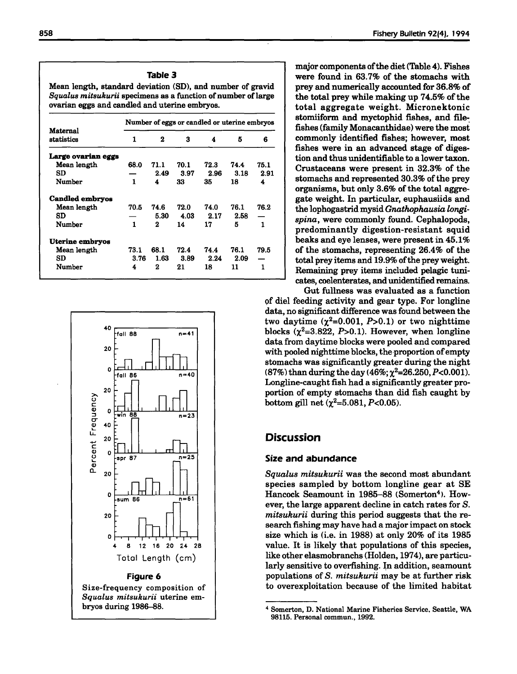### Table 3

Mean length, standard deviation (SD), and number of gravid *Squalus mitsukurii* specimens as a function of number of large ovarian eggs and candled and uterine embryos.

|                        | Number of eggs or candled or uterine embryos |      |      |      |      |      |  |  |
|------------------------|----------------------------------------------|------|------|------|------|------|--|--|
| Maternal<br>statistics | 1                                            | 2    | 3    | 4    | к    | 6    |  |  |
| Large ovarian eggs     |                                              |      |      |      |      |      |  |  |
| Mean length            | 68.0                                         | 71.1 | 70.1 | 72.3 | 74.4 | 75.1 |  |  |
| SD                     |                                              | 2.49 | 3.97 | 2.96 | 3.18 | 2.91 |  |  |
| Number                 | 1                                            | 4    | 33   | 35   | 18   | 4    |  |  |
| <b>Candled embryos</b> |                                              |      |      |      |      |      |  |  |
| Mean length            | 70.5                                         | 74.6 | 72.0 | 74.0 | 76.1 | 76.2 |  |  |
| SD                     |                                              | 5.30 | 4.03 | 2.17 | 2.58 |      |  |  |
| Number                 | 1                                            | 2    | 14   | 17   | 5    | 1    |  |  |
| Uterine embryos        |                                              |      |      |      |      |      |  |  |
| Mean length            | 73.1                                         | 68.1 | 72.4 | 74.4 | 76.1 | 79.5 |  |  |
| SD                     | 3.76                                         | 1.63 | 3.89 | 2.24 | 2.09 |      |  |  |
| Number                 | 4                                            | 2    | 21   | 18   | 11   | 1    |  |  |



major components of the diet (Table 4). Fishes were found in 63.7% of the stomachs with prey and numerically accounted for 36.8% of the total prey while making up  $74.5\%$  of the total aggregate weight. Micronektonic stomiiform and myctophid fishes, and filefishes (family Monacanthidae) were the most commonly identified fishes; however, most fishes were in an advanced stage of digestion and thus unidentifiable to a lower taxon. Crustaceans were present in 32.3% of the stomachs and represented 30.3% of the prey organisms, but only 3.6% of the total aggregate weight. In particular, euphausiids and the lophogastrid mysid *Gnathophausia longispina,* were commonly found. Cephalopods, predominantly digestion-resistant squid beaks and eye lenses, were present in 45.1% of the stomachs, representing 26.4% of the total prey items and 19.9% of the prey weight. Remaining prey items included pelagic tunicates, coelenterates, and unidentified remains.

Gut fullness was evaluated as a function <;>f diel feeding activity and gear type. For longline data, no significant difference was found between the two daytime  $(\chi^2=0.001, P>0.1)$  or two nighttime blocks  $(\chi^2=3.822, P>0.1)$ . However, when longline data from daytime blocks were pooled and compared with pooled nighttime blocks, the proportion of empty stomachs was significantly greater during the night (87%) than during the day (46%;  $\chi^2$ =26.250, P<0.001). Longline-caught fish had a significantly greater proportion of empty stomachs than did fish caught by bottom gill net  $(\chi^2=5.081, P<0.05)$ .

# **Discussion**

#### Size and abundance

*Squalus mitsukurii* was the second most abundant species sampled by bottom longline gear at SE Hancock Seamount in 1985-88 (Somerton<sup>4</sup>). However, the large apparent decline in catch rates for S. *mitsukurii* during this period suggests that the research fishing may have had a major impact on stock size which is (i.e. in 1988) at only 20% of its 1985 value. It is likely that populations of this species, like other elasmobranchs (Holden, 1974), are particularly sensitive to overfishing. In addition, seamount populations of S. *mitsukurii* may be at further risk to overexploitation because of the limited habitat

<sup>4</sup> Somerton, D. National Marine Fisheries Service. Seattle, WA 98115. Personal commun., 1992.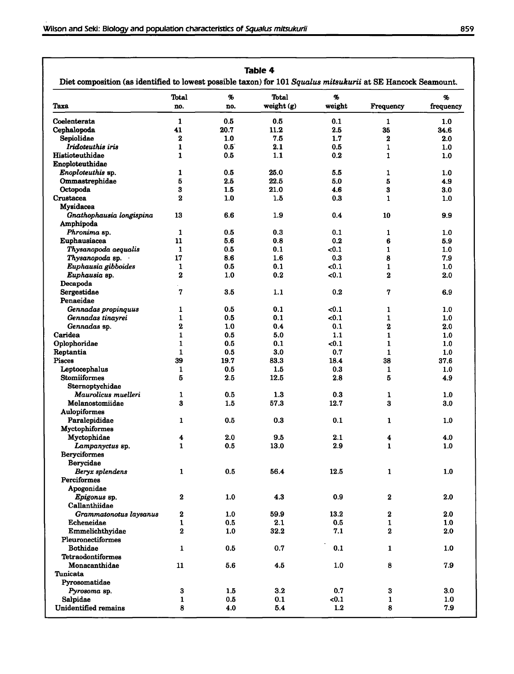|                                       | Total          | %             | Total            | %      |                         | %         |
|---------------------------------------|----------------|---------------|------------------|--------|-------------------------|-----------|
| Taxa                                  | no.            | no.           | weight $(g)$     | weight | Frequency               | frequency |
| Coelenterata                          | $\mathbf{1}$   | 0.5           | 0.5              | 0.1    | $\mathbf{1}$            | 1.0       |
| Cephalopoda                           | 41             | 20.7          | 11.2             | 2.5    | 35                      | 34.6      |
| Sepiolidae                            | $\mathbf 2$    | 1.0           | 7.5              | 1.7    | $\mathbf 2$             | 2.0       |
| Iridoteuthis iris                     | 1              | $0.5^{\circ}$ | 2.1              | 0.5    | 1                       | 1.0       |
| Histioteuthidae                       | $\mathbf{1}$   | 0.5           | 1.1              | 0.2    | 1                       | 1.0       |
| Enoploteuthidae                       |                |               |                  |        |                         |           |
| Enoploteuthis sp.                     | 1              | 0.5           | 25.0             | 5.5    | 1                       | 1.0       |
| Ommastrephidae                        | 5              | 2.5           | 22.5             | 5.0    | 5                       | 4.9       |
| Octopoda                              | 3              | 1.5           | 21.0             | 4.6    | 3                       | 3.0       |
| Crustacea                             | $\bf{2}$       | 1.0           | 1.5              | 0.3    | 1                       | 1.0       |
| Mysidacea                             |                |               |                  |        |                         |           |
| Gnathophausia longispina<br>Amphipoda | 13             | 6.6           | 1.9              | 0.4    | 10                      | 9.9       |
| Phronima sp.                          | 1              | 0.5           | 0.3              | 0.1    | 1                       | 1.0       |
| Euphausiacea                          | 11             | 5.6           | 0.8              | 0.2    | 6                       | 5.9       |
| Thysanopoda aequalis                  | $\mathbf{1}$   | 0.5           | 0.1              | < 0.1  | $\mathbf{1}$            | 1.0       |
| Thysanopoda sp.                       | 17             | 8.6           | $1.6\phantom{0}$ | 0.3    | 8                       | 7.9       |
| Euphausia gibboides                   | 1              | 0.5           | 0.1              | < 0.1  | $\mathbf{1}$            | 1.0       |
| Euphausia sp.                         | $\mathbf 2$    | 1.0           | 0.2              | $0.1$  | $\overline{\mathbf{2}}$ | 2.0       |
| Decapoda                              |                |               |                  |        |                         |           |
| Sergestidae                           | 7              | 3.5           | 1.1              | 0.2    | 7                       | 6.9       |
| Penaeidae                             |                |               |                  |        |                         |           |
| Gennadas propinguus                   | 1              | 0.5           | 0.1              | <0.1   | 1                       | 1.0       |
| Gennadas tinayrei                     | $\mathbf{1}$   | 0.5           | 0.1              | $0.1$  | 1                       | 1.0       |
| Gennadas sp.                          | $\mathbf 2$    | 1.0           | 0.4              | 0.1    | 2                       | $2.0\,$   |
| Caridea                               | $\mathbf{1}$   | 0.5           | 5.0              | 1.1    | 1                       | 1.0       |
| Oplophoridae                          | $\mathbf{1}$   | 0.5           | 0.1              | $0.1$  | $\mathbf{1}$            | 1.0       |
| Reptantia                             | 1              | 0.5           | 3.0              | 0.7    | $\mathbf{1}$            | 1.0       |
| Pisces                                | 39             | 19.7          | 83.3             | 18.4   | 38                      | 37.6      |
| Leptocephalus                         | 1              | 0.5           | 1.5              | 0.3    | 1                       | 1.0       |
| <b>Stomiiformes</b>                   | 5              | 2.5           | 12.5             | 2.8    | 5                       | 4.9       |
| Sternoptychidae                       |                |               |                  |        |                         |           |
| Maurolicus muelleri                   | 1              | 0.5           | 1.3              | 0.3    | 1                       | 1.0       |
| Melanostomiidae                       | 3              | 1.5           | 57.3             | 12.7   | 3                       | 3.0       |
| <b>Aulopiformes</b>                   |                |               |                  |        |                         |           |
| Paralepididae                         | $\mathbf{1}$   | 0.5           | 0.3              | 0.1    | 1                       | 1.0       |
| Myctophiformes                        |                |               |                  |        |                         |           |
| Myctophidae                           | 4              | 2.0           | 9.5              | 2.1    | 4                       | 4.0       |
| Lampanyctus sp.                       | $\mathbf{1}$   | $0.5\,$       | $13.0\,$         | 2.9    | $\mathbf 1$             | $1.0\,$   |
| <b>Beryciformes</b>                   |                |               |                  |        |                         |           |
| Berycidae                             |                |               |                  |        |                         |           |
| Beryx splendens                       | $\mathbf{1}$   | 0.5           | 56.4             | 12.5   | $\mathbf{1}$            | 1.0       |
| Perciformes                           |                |               |                  |        |                         |           |
| Apogonidae                            |                |               |                  |        |                         |           |
| Epigonus sp.                          | $\bf{2}$       | 1.0           | 4.3              | 0.9    | $\bf{2}$                | 2.0       |
| Callanthiidae                         |                |               |                  |        |                         |           |
| Grammatonotus laysanus                | $\bf 2$        | 1.0           | 59.9             | 13.2   | $\bf 2$                 | 2.0       |
| Echeneidae                            | $\mathbf{1}$   | 0.5           | 2.1              | 0.5    | 1                       | 1.0       |
| Emmelichthyidae                       | $\overline{2}$ | 1.0           | 32.2             | 7.1    | 2                       | 2.0       |
| Pleuronectiformes                     |                |               |                  |        |                         |           |
| <b>Bothidae</b>                       | $\mathbf 1$    | 0.5           | 0.7              | 0.1    | $\mathbf{1}$            | 1.0       |
| <b>Tetraodontiformes</b>              |                |               |                  |        |                         |           |
| Monacanthidae                         | 11             | 5.6           | 4.5              | 1.0    | 8                       | 7.9       |
| Tunicata                              |                |               |                  |        |                         |           |
| Pyrosomatidae                         |                |               |                  |        |                         |           |
| Pyrosoma sp.                          | 3              | 1.5           | 3.2              | 0.7    | $\bf{3}$                | 3.0       |
| Salpidae                              | 1              | 0.5           | 0.1              | < 0.1  | 1                       | 1.0       |
| <b>Unidentified remains</b>           | 8              | 4.0           | 5.4              | 1.2    | 8                       | 7.9       |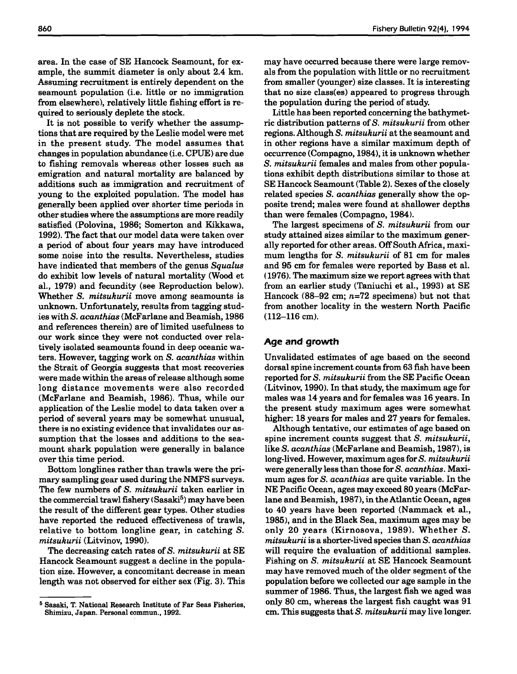area. In the case of SE Hancock Seamount, for example, the summit diameter is only about 2.4 km. Assuming recruitment is entirely dependent on the seamount population (i.e. little or no immigration from elsewhere), relatively little fishing effort is required to seriously deplete the stock.

It is not possible to verify whether the assumptions that are required by the Leslie model were met in the present study. The model assumes that changes in population abundance (i.e. CPUE) are due to fishing removals whereas other losses such as emigration and natural mortality are balanced by additions such as immigration and recruitment of young to the exploited population. The model has generally been applied over shorter time periods in other studies where the assumptions are more readily satisfied (Polovina, 1986; Somerton and Kikkawa, 1992). The fact that our model data were taken over a period of about four years may have introduced some noise into the results. Nevertheless, studies have indicated that members of the genus *Squalus* do exhibit low levels of natural mortality (Wood et aI., 1979) and fecundity (see Reproduction below). Whether S. *mitsukurii* move among seamounts is unknown. Unfortunately, results from tagging studies with S. *acanthias* (McFarlane and Beamish, 1986 and references therein) are of limited usefulness to our work since they were not conducted over relatively isolated seamounts found in deep oceanic waters. However, tagging work on S. *acanthias* within the Strait of Georgia suggests that most recoveries were made within the areas of release although some long distance movements were also recorded (McFarlane and Beamish, 1986). Thus, while our application of the Leslie model to data taken over a period of several years may be somewhat unusual, there is no existing evidence that invalidates our assumption that the losses and additions to the seamount shark population were generally in balance over this time period.

Bottom longlines rather than trawls were the primary sampling gear used during the NMFS surveys. The few numbers of S. *mitsukurii* taken earlier in the commercial trawl fishery (Sasaki<sup>5</sup>) may have been the result of the different gear types. Other studies have reported the reduced effectiveness of trawls, relative to bottom longline gear, in catching S. *mitsukurii* (Litvinov, 1990).

The decreasing catch rates of S. *mitsukurii* at SE Hancock Seamount suggest a decline in the population size. However, a concomitant decrease in mean length was not observed for either sex (Fig. 3). This may have occurred because there were large removals from the population with little or no recruitment from smaller (younger) size classes. It is interesting that no size class(es) appeared to progress through the population during the period of study.

Little has been reported concerning the bathymetric distribution patterns ofS. *mitsukurii* from other regions. Although S. *mitsukurii* at the seamount and in other regions have a similar maximum depth of occurrence (Compagno, 1984), it is unknown whether S. *mitsukurii* females and males from other populations exhibit depth distributions similar to those at SE Hancock Seamount (Table 2). Sexes of the closely related species S. *acanthias* generally show the opposite trend; males were found at shallower depths than were females (Compagno, 1984).

The largest specimens of S. *mitsukurii* from our study attained sizes similar to the maximum generally reported for other areas. OffSouthAfrica, maximum lengths for S. *mitsukurii* of 81 cm for males and 95 cm for females were reported by Bass et a1. (1976). The maximum size we report agrees with that from an earlier study (Taniuchi et aI., 1993) at SE Hancock (88-92 cm;  $n=72$  specimens) but not that from another locality in the western North Pacific (112-116 cm).

# **Age and growth**

Unvalidated estimates of age based on the second dorsal spine increment counts from 63 fish have been reported for S. *mitsukurii* from the SE Pacific Ocean (Litvinov, 1990). In that study, the maximum age for males was 14 years and for females was 16 years. In the present study maximum ages were somewhat higher: 18 years for males and 27 years for females.

Although tentative, our estimates of age based on spine increment counts suggest that S. *mitsukurii,* like S. *acanthias* (McFarlane and Beamish, 1987), is long-lived. However, maximum ages for S. *mitsukurii* were generally less than those for S. *acanthias.* Maximum ages for S. *acanthias* are quite variable. In the NE Pacific Ocean, ages may exceed 80 years (McFarlane and Beamish, 1987), in the Atlantic Ocean, ages to 40 years have been reported (Nammack et aI., 1985), and in the Black Sea, maximum ages may be only 20 years (Kirnosova, 1989). Whether S. *mitsukurii* is a shorter-lived speciesthan S. *acanthias* will require the evaluation of additional samples. Fishing on S. *mitsukurii* at SE Hancock Seamount may have removed much of the older segment of the population before we collected our age sample in the summer of 1986. Thus, the largest fish we aged was only 80 cm, whereas the largest fish caught was 91 cm. This suggests that S. *mitsukurii* may live longer.

<sup>5</sup> Sasaki, T. National Research Institute of Far Seas Fisheries, Shimizu, Japan. Personal commun., 1992.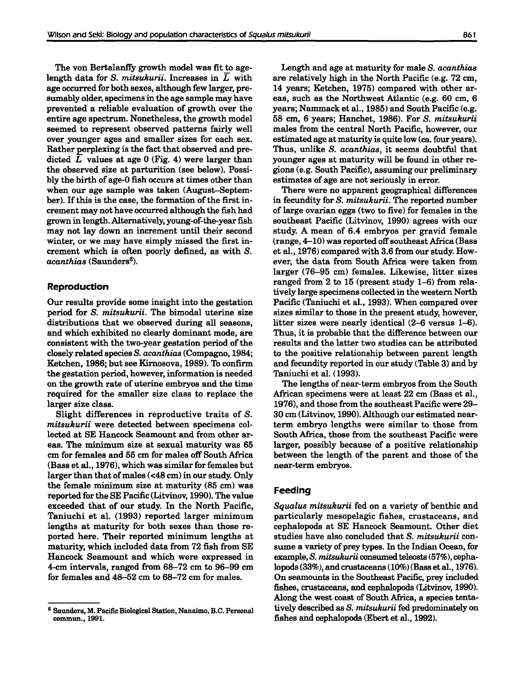The von Bertalanffy growth model was fit to agelength data for S. *mitsukurii.* Increases in L with age occurred for both sexes, although few larger, presumably older, specimens in the age sample may have prevented a reliable evaluation of growth over the entire age spectrum. Nonetheless, the growth model seemed to represent observed patterns fairly well over younger ages and smaller sizes for each sex. Rather perplexing is the fact that observed and predicted  $L$  values at age 0 (Fig. 4) were larger than the observed size at parturition (see below). Possibly the birth of age-O fish occurs at times other than when our age sample was taken (August-September). If this is the case, the formation of the first increment may not have occurred although the fish had grown in length. Alternatively, young-of-the-year fish may not lay down an increment until their second winter, or we may have simply missed the first increment which is often poorly defined, as with S. *acanthias* (Saunders6).

# **Reproduction**

Our results provide some insight into the gestation period for S. *mitsukurii.* The bimodal uterine size distributions that we observed during all seasons, and which exhibited no clearly dominant mode, are consistent with the two-year gestation period of the closely related species S. *acanthias* (Compagno, 1984; Ketchen, 1986; but see Kirnosova, 1989). To confirm the gestation period, however, information is needed on the growth rate of uterine embryos and the time required for the smaller size class to replace the larger size class.

Slight differences in reproductive traits of S. *mitsukurii* were detected between specimens collected at SE Hancock Seamount and from other areas. The minimum size at sexual maturity was 65 em for females and 55 em for males off South Africa (Bass et aI., 1976), which was similar for females but larger than that of males (<48 cm) in our study. Only the female minimum size at maturity (85 em) was reported for the SE Pacific (Litvinov, 1990). The value exceeded that of our study. In the North Pacific, Taniuchi et a1. (1993) reported larger minimum lengths at maturity for both sexes than those reported here. Their reported minimum lengths at maturity, which included data from 72 fish from SE Hancock Seamount and which were expressed in 4-cm intervals, ranged from 68-72 em to 96-99 em for females and 48-52 em to 68-72 em for males.

Length and age at maturity for male S. *acanthias* are relatively high in the North Pacific (e.g. 72 em, 14 years; Ketchen, 1975) compared with other areas, such as the Northwest Atlantic (e.g. 60 cm, 6 years; Nammack et aI., 1985) and South Pacific (e.g. 58 em, 6 years; Hanchet, 1986). For S. *mitsukurii* males from the central North Pacific, however, our estimated age at maturity is quite low (ca. four years). Thus, unlike S. *acanthias,* it seems doubtful that younger ages at maturity will be found in other regions (e.g. South Pacific), assuming our preliminary estimates of age are not seriously in error.

There were no apparent geographical differences in fecundity for S. *mitsukurii.* The reported number of large ovarian eggs (two to five) for females in the southeast Pacific (Litvinov, 1990) agrees with our study. A mean of 6.4 embryos per gravid female  $(range, 4-10)$  was reported off southeast Africa (Bass et aI., 1976) compared with 3.6 from our study. However, the data from South Africa were taken from larger (76-95 em) females. Likewise, litter sizes ranged from 2 to 15 (present study 1-6) from relatively large specimens collected in the western North Pacific (Taniuchi et aI., 1993). When compared over sizes similar to those in the present study, however, litter sizes were nearly identical (2-6 versus 1-6). Thus, it is probable that the difference between our results and the latter two studies can be attributed to the positive relationship between parent length and fecundity reported in our study (Table 3) and by Taniuchi et a1. (1993).

The lengths of near-term embryos from the South African specimens were at least 22 cm (Bass et aI., 1976), and those from the southeast Pacific were 29- 30 em (Litvinov, 1990). Although our estimated nearterm embryo lengths were similar to those from South Africa, those from the southeast Pacific were larger, possibly because of a positive relationship between the length of the parent and those of the near-term embryos.

# **Feeding**

*Squalus mitsukurii* fed on a variety of benthic and particularly mesopelagic fishes, crustaceans, and cephalopods at SE Hancock Seamount. Other diet studies have also concluded that S. *mitsukurii* consume a variety of prey types. In the Indian Ocean, for example, S. *mitsukurii* consumed teleosts(57%), cephalopods(33%), and crustaceans(10%) (Bass et aI., 1976). On seamounts in the Southeast Pacific, prey included fishes, crustaceans, and cephalopods (Litvinov, 1990). Along the west coast of South Africa, a species tentatively described as S. *mitsukurii* fed predominately on fishes and cephalopods (Ebert et al., 1992).

<sup>6</sup> Saunders, M. Pacific Biological Station, Nanaimo, B.C. Personal commun., 1991.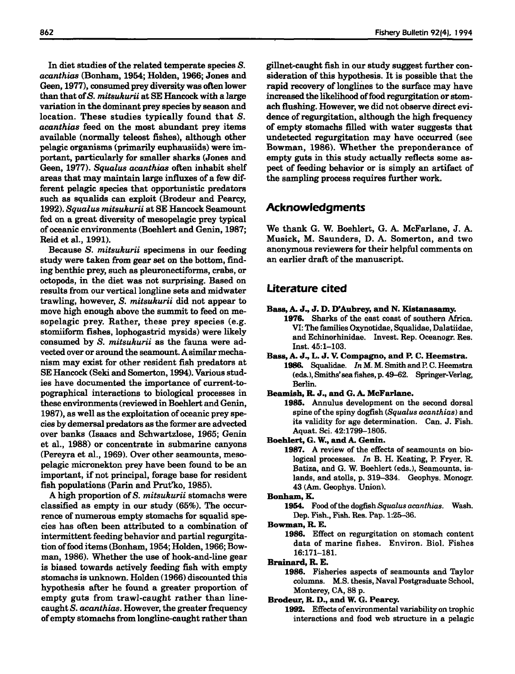In diet studies of the related temperate species S. *acanthias* (Bonham, 1954; Holden, 1966; Jones and Geen, 1977), consumed prey diversity was often lower than that of*S. mitsukurii* at SE Hancock with a large variation in the dominant prey species by season and location. These studies typically found that S. *acanthias* feed on the most abundant prey items available (normally teleost fishes), although other pelagic organisms (primarily euphausiids) were important, particularly for smaller sharks (Jones and Geen, 1977). *Squalus acanthias* often inhabit shelf areas that may maintain large influxes of a few different pelagic species that opportunistic predators such as squalids can exploit (Brodeur and Pearcy, *1992). Squalus mitsukurii* at SE Hancock Seamount fed on a great diversity of mesopelagic prey typical of oceanic environments (Boehlert and Genin, 1987; Reid et aI., 1991).

Because S. *mitsukurii* specimens in our feeding study were taken from gear set on the bottom, finding benthic prey, such as pleuronectiforms, crabs, or octopods, in the diet was not surprising. Based on results from our vertical longline sets and midwater trawling, however, S. *mitsukurii* did not appear to move high enough above the summit to feed on mesopelagic prey. Rather, these prey species (e.g. stomiiform fishes, lophogastrid mysids) were likely consumed by S. *mitsukurii* as the fauna were advected over or around the seamount. A similar mechanism may exist for other resident fish predators at SE Hancock (Seki and Somerton, 1994). Various studies have documented the importance of current-topographical interactions to biological processes in these environments(reviewed in Boehlert and Genin, 1987), as well as the exploitation of oceanic prey species by demersal predators asthe former are advected over banks (Isaacs and Schwartzlose, 1965; Genin et al., 1988) or concentrate in submarine canyons (Pereyra et aI., 1969). Over other seamounts, mesopelagic micronekton prey have been found to be an important, if not principal, forage base for resident fish populations (Parin and Prut'ko, 1985).

A high proportion of S. *mitsukurii* stomachs were classified as empty in our study (65%). The occurrence of numerous empty stomachs for squalid species has often been attributed to a combination of intermittent feeding behavior and partial regurgitation of food items (Bonham, 1954; Holden, 1966; Bowman, 1986). Whether the use of hook-and-line gear is biased towards actively feeding fish with empty stomachs is unknown. Holden (1966) discounted this hypothesis after he found a greater proportion of empty guts from trawl-caught rather than linecaughtS. *acanthias.* However, the greater frequency of empty stomachs from longline-caught rather than

gillnet-caught fish in our study suggest further consideration of this hypothesis. It is possible that the rapid recovery of longlines to the surface may have increased the likelihood of food regurgitation or stomach flushing. However, we did not observe direct evidence of regurgitation, although the high frequency of empty stomachs filled with water suggests that undetected regurgitation may have occurred (see Bowman, 1986). Whether the preponderance of empty guts in this study actually reflects some aspect of feeding behavior or is simply an artifact of the sampling process requires further work.

# **Acknowledgments**

We thank G. W. Boehlert, G. A. McFarlane, J. A. Musick, M. Saunders, D. A. Somerton, and two anonymous reviewers for their helpful comments on an earlier draft of the manuscript.

# **Literature cited**

- Bass,A. J., J. D. D'Aubrey, and N. Kistanasamy.
	- 1976. Sharks of the east coast of southern Africa. VI: The families Oxynotidae, Squalidae, Dalatiidae, and Echinorhinidae. Invest. Rep. Oceanogr. Res. Inst. 45:1-103.
- Bass, A. J., L. J. Compagno, and P. C. Heemstra. 1986. Squalidae. *In* M. M. Smith and P. C. Heemstra (eds.), Smiths' sea fishes, p. 49-62. Springer-Verlag, Berlin.
- Beamish, R. J., and G. A. McFarlane.
	- 1985. Annulus development on the second dorsal spine of the spiny dogfish (Squalus *acanthias*) and its validity for age determination. Can. J. Fish. Aquat. Sci. 42:1799-1805.
- Boehlert, G. W., and A. Genin.
	- 1987. A review of the effects of seamounts on biological processes. *In* B. H. Keating, P. Fryer. R. Batiza, and G. W. Boehlert (eds.), Seamounts. islands, and atolls, p. 319-334. Geophys. Monogr. 43 (Am. Geophys. Union).
- Bonham,K.
	- 1954. Food ofthe dogfish *Squalus acanthias.* Wash. Dep. Fish., Fish. Res. Pap. 1:25-36.
- Bowman, R. E.
	- 1986. Effect on regurgitation on stomach content data of marine fishes. Environ. BioI. Fishes 16:171-181.
- Brainard, R. E.
	- 1986. Fisheries aspects of seamounts and Taylor columns. M.S. thesis, Naval Postgraduate School. Monterey, CA, 88 p.
- Brodeur, R. D., and W. G. Pearcy.
	- 1992. Effects ofenvironmental variability on trophic interactions and food web structure in a pelagic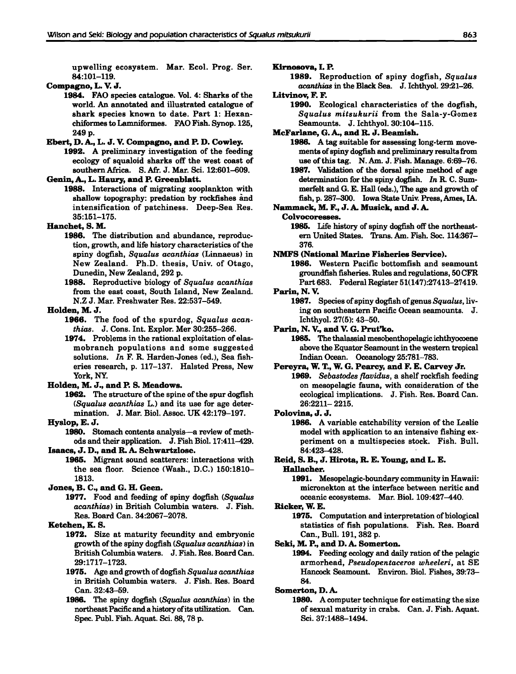upwelling ecosystem. Mar. Ecol. Prog. Ser. 84:101-119.

#### Compagno, L. J.

1984. FAO species catalogue. Vol. 4: Sharks of the world. An annotated and illustrated catalogue of shark species known to date. Part 1: Hexanchiformes to Lamniformes. FAO Fish. Synop. 125, 249 p.

# Ebert, D. A., L. J. Compagno, and P. D. Cowley.

1992. A preliminary investigation of the feeding ecology of squaloid sharks off the west coast of southern Africa. S. Afr. J. Mar. Sci. 12:601-609.

### Genin, A., L. Haury, and P. Greenblatt.

1988. Interactions of migrating zooplankton with shallow topography: predation by rockfishes and intensification of patchiness. Deep-Sea Res. 35:151-175.

# Hanchet, S. M.

- 1986. The distribution and abundance, reproduction, growth, and life history characteristics of the spiny dogfish, *Squalus acanthias* (Linnaeus) in New Zealand. Ph.D. thesis, Univ. of Otago, Dunedin, New Zealand, 292 p.
- 1988. Reproductive biology of *Squalus acanthias* from the east coast, South Island, New Zealand. N.Z J. Mar. Freshwater Res. 22:537-549.

#### Holden, M. J.

- 1966. The food of the spurdog, *Squalus acanthias.* J. Cons. Int. Explor. Mer 30:255-266.
- 1974. Problems in the rational exploitation of elasmobranch populations and some suggested solutions. *In* F. R. Harden-Jones (ed.), Sea fisheries research, p. 117-137. Halsted Press, New York, NY.

#### Holden, M. J., and P. S. Meadows.

1962. The structure of the spine of the spur dogfish *(Squalus acanthias* L.) and its use for age determination. J. Mar. BioI. Assoc. UK 42:179-197.

#### Hyslop, E. J.

1980. Stomach contents analysis—a review of methods and their application. J. Fish BioI. 17:411-429.

# Isaacs, J. D., and R. A. Schwartzlose.

1965. Migrant sound scatterers: interactions with the sea floor. Science (Wash., D.C.) 150:1810- 1813.

#### Jones, B. C., and G. H. Geen.

1977. Food and feeding of spiny dogfish *(Squalus acanthias)* in British Columbia waters. J. Fish. Res. Board Can. 34:2067-2078.

#### Ketchen, K. S.

- 1972. Size at maturity fecundity and embryonic growth ofthe spiny dogfish *(Squalus acanthiasl* in British Columbia waters. J. Fish. Res. Board Can. 29:1717-1723.
- 1**975.** Age and growth of dogfish *Squalus acanthias* in British Columbia waters. J. Fish. Res. Board Can. 32:43-59.
- 1986. The spiny dogfish *tSqualus acanthias)* in the northeast Pacific and a history of its utilization. Can. Spec. Publ. Fish. Aquat. Sci. 88, 78 p.

#### Kirnosova, I. P.

# 1989. Reproduction of spiny dogfish, *Squalus acanthias* in the Black Sea. J. Ichthyoi. 29:21-26.

# Litvinov, F. F.

1990. Ecological characteristics of the dogfish, *Squalus mitsukurii* from the Sala-y-Gomez Seamounts. J. Ichthyol. 30:104-115.

### McFarlane, G.A., and R. J. Beamish.

- 1986. A tag suitable for assessing long-term movements ofspiny dogfish and preliminary resultsfrom use of this tag. N. Am. J. Fish. Manage. 6:69-76.
- 1987. Validation of the dorsal spine method of age determination for the spiny dogfish. *In* R. C. Summerfelt and G. E. Hall (eds.), The age and growth of fish, p. 287-300. Iowa State Univ. Press, Ames, IA.

# Nammack, M. F., J. A. Musick, and J. A.

#### Colvocoresses.

1985. Life history of spiny dogfish off the northeastern United States. Trans. Am. Fish. Soc. 114:367- 376.

#### NMFS (National Marine Fisheries Service).

1986. Western Pacific bottomfish and seamount groundfish fisheries. Rules and regulations, 50CFR Part 683. Federal Register 51(147):27413-27419.

# Parin, N.

1987. Species of spiny dogfish of genus *Squalus*, living on southeastern Pacific Ocean seamounts. J. Ichthyol. 27(5): 43-50.

#### Parin, N. V., and V. G. Prut'ko.

1985. The thalassial mesobenthopelagic ichthyocoene above the Equator Seamount in the western tropical Indian Ocean. Oceanology 25:781-783.

#### Pereyra, W. T., W. G. Pearcy, and F. E. Carvey Jr.

*1969. Sebastodes flavidus,* a shelf rockfish feeding on mesopelagic fauna, with consideration of the ecological implications. J. Fish. Res. Board Can. 26:2211- 2215.

#### Polovina, J. J.

1986. A variable catchability version of the Leslie model with application to an intensive fishing experiment on a multispecies stock. Fish. Bull. 84:423-428.

#### Reid, S. B., J. Hirota, R. E. Young, and L. E. Hallacher.

1991. Mesopelagic-boundary community in Hawaii: micronekton at the interface between neritic and oceanic ecosystems. Mar. BioI. 109:427-440.

Ricker, W. E.

1975. Computation and interpretation of biological statistics of fish populations. Fish. Res. Board Can., Bull. 191, 382 p.

#### Seki, M. P., and D. A. Somerton.

1994. Feeding ecology and daily ration of the pelagic armorhead, *Pseudopentaceros wheeleri,* at SE Hancock Seamount. Environ. BioI. Fishes, 39:73- 84.

#### Somerton, D. A.

1980. A computer technique for estimating the size of sexual maturity in crabs. Can. J. Fish. Aquat. Sci. 37:1488-1494.